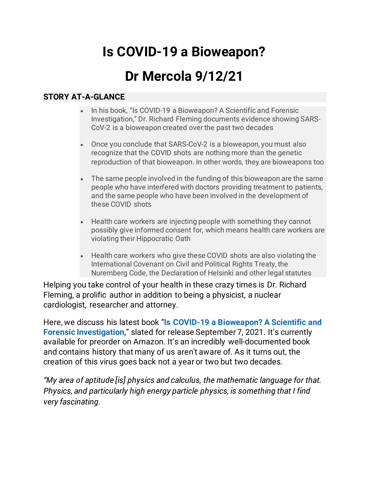# **Is COVID-19 a Bioweapon?**

# **Dr Mercola 9/12/21**

#### **STORY AT-A-GLANCE**

- In his book, "Is COVID-19 a Bioweapon? A Scientific and Forensic Investigation," Dr. Richard Fleming documents evidence showing SARS-CoV-2 is a bioweapon created over the past two decades
- Once you conclude that SARS-CoV-2 is a bioweapon, you must also recognize that the COVID shots are nothing more than the genetic reproduction of that bioweapon. In other words, they are bioweapons too
- The same people involved in the funding of this bioweapon are the same people who have interfered with doctors providing treatment to patients, and the same people who have been involved in the development of these COVID shots
- Health care workers are injecting people with something they cannot possibly give informed consent for, which means health care workers are violating their Hippocratic Oath
- Health care workers who give these COVID shots are also violating the International Covenant on Civil and Political Rights Treaty, the Nuremberg Code, the Declaration of Helsinki and other legal statutes

Helping you take control of your health in these crazy times is Dr. Richard Fleming, a prolific author in addition to being a physicist, a nuclear cardiologist, researcher and attorney.

Here, we discuss his latest book "**[Is COVID-19 a Bioweapon? A Scientific and](https://www.amazon.com/COVID-19-Bioweapon-Scientific-investigation-Childrens/dp/1510770194/ref=sr_1_1?dchild=1&qid=1628612636&refinements=p_27%3ARichard+Fleming&s=books&sr=1-1)  [Forensic Investigation](https://www.amazon.com/COVID-19-Bioweapon-Scientific-investigation-Childrens/dp/1510770194/ref=sr_1_1?dchild=1&qid=1628612636&refinements=p_27%3ARichard+Fleming&s=books&sr=1-1)**," slated for release September 7, 2021. It's currently available for preorder on Amazon. It's an incredibly well-documented book and contains history that many of us aren't aware of. As it turns out, the creation of this virus goes back not a year or two but two decades.

*"My area of aptitude [is] physics and calculus, the mathematic language for that. Physics, and particularly high energy particle physics, is something that I find very fascinating.*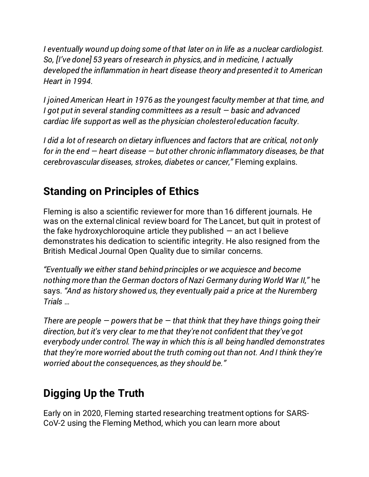*I eventually wound up doing some of that later on in life as a nuclear cardiologist. So, [I've done] 53 years of research in physics, and in medicine, I actually developed the inflammation in heart disease theory and presented it to American Heart in 1994.*

*I joined American Heart in 1976 as the youngest faculty member at that time, and I got put in several standing committees as a result — basic and advanced cardiac life support as well as the physician cholesterol education faculty.*

*I did a lot of research on dietary influences and factors that are critical, not only for in the end — heart disease — but other chronic inflammatory diseases, be that cerebrovascular diseases, strokes, diabetes or cancer,"* Fleming explains.

### **Standing on Principles of Ethics**

Fleming is also a scientific reviewer for more than 16 different journals. He was on the external clinical review board for The Lancet, but quit in protest of the fake hydroxychloroquine article they published  $-$  an act I believe demonstrates his dedication to scientific integrity. He also resigned from the British Medical Journal Open Quality due to similar concerns.

*"Eventually we either stand behind principles or we acquiesce and become nothing more than the German doctors of Nazi Germany during World War II,"* he says. *"And as history showed us, they eventually paid a price at the Nuremberg Trials …*

*There are people — powers that be — that think that they have things going their direction, but it's very clear to me that they're not confident that they've got everybody under control. The way in which this is all being handled demonstrates that they're more worried about the truth coming out than not. And I think they're worried about the consequences, as they should be."*

## **Digging Up the Truth**

Early on in 2020, Fleming started researching treatment options for SARS-CoV-2 using the Fleming Method, which you can learn more about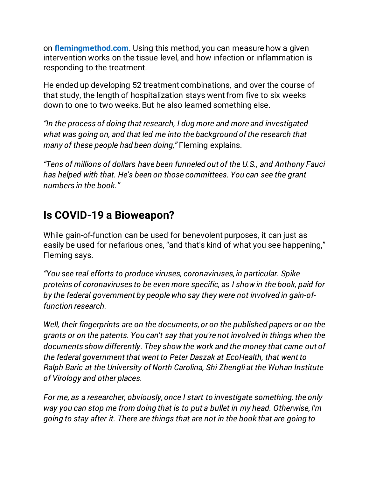on **[flemingmethod.com](https://www.flemingmethod.com/)**. Using this method, you can measure how a given intervention works on the tissue level, and how infection or inflammation is responding to the treatment.

He ended up developing 52 treatment combinations, and over the course of that study, the length of hospitalization stays went from five to six weeks down to one to two weeks. But he also learned something else.

*"In the process of doing that research, I dug more and more and investigated what was going on, and that led me into the background of the research that many of these people had been doing,"* Fleming explains.

*"Tens of millions of dollars have been funneled out of the U.S., and Anthony Fauci has helped with that. He's been on those committees. You can see the grant numbers in the book."*

#### **Is COVID-19 a Bioweapon?**

While gain-of-function can be used for benevolent purposes, it can just as easily be used for nefarious ones, "and that's kind of what you see happening," Fleming says.

*"You see real efforts to produce viruses, coronaviruses, in particular. Spike proteins of coronaviruses to be even more specific, as I show in the book, paid for by the federal government by people who say they were not involved in gain-offunction research.*

*Well, their fingerprints are on the documents, or on the published papers or on the grants or on the patents. You can't say that you're not involved in things when the documents show differently. They show the work and the money that came out of the federal government that went to Peter Daszak at EcoHealth, that went to Ralph Baric at the University of North Carolina, Shi Zhengli at the Wuhan Institute of Virology and other places.*

*For me, as a researcher, obviously, once I start to investigate something, the only way you can stop me from doing that is to put a bullet in my head. Otherwise, I'm going to stay after it. There are things that are not in the book that are going to*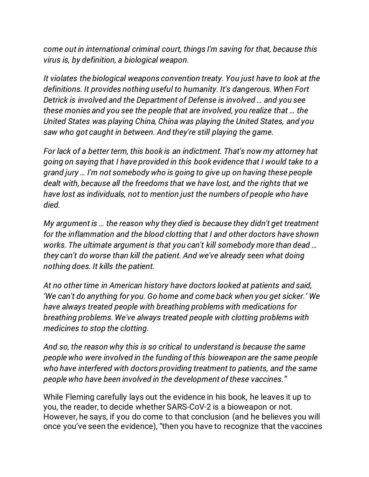*come out in international criminal court, things I'm saving for that, because this virus is, by definition, a biological weapon.*

*It violates the biological weapons convention treaty. You just have to look at the definitions. It provides nothing useful to humanity. It's dangerous. When Fort Detrick is involved and the Department of Defense is involved … and you see these monies and you see the people that are involved, you realize that … the United States was playing China, China was playing the United States, and you saw who got caught in between. And they're still playing the game.*

*For lack of a better term, this book is an indictment. That's now my attorney hat going on saying that I have provided in this book evidence that I would take to a grand jury … I'm not somebody who is going to give up on having these people dealt with, because all the freedoms that we have lost, and the rights that we have lost as individuals, not to mention just the numbers of people who have died.*

*My argument is … the reason why they died is because they didn't get treatment for the inflammation and the blood clotting that I and other doctors have shown works. The ultimate argument is that you can't kill somebody more than dead … they can't do worse than kill the patient. And we've already seen what doing nothing does. It kills the patient.*

*At no other time in American history have doctors looked at patients and said, 'We can't do anything for you. Go home and come back when you get sicker.' We have always treated people with breathing problems with medications for breathing problems. We've always treated people with clotting problems with medicines to stop the clotting.*

*And so, the reason why this is so critical to understand is because the same people who were involved in the funding of this bioweapon are the same people who have interfered with doctors providing treatment to patients, and the same people who have been involved in the development of these vaccines."*

While Fleming carefully lays out the evidence in his book, he leaves it up to you, the reader, to decide whether SARS-CoV-2 is a bioweapon or not. However, he says, if you do come to that conclusion (and he believes you will once you've seen the evidence), "then you have to recognize that the vaccines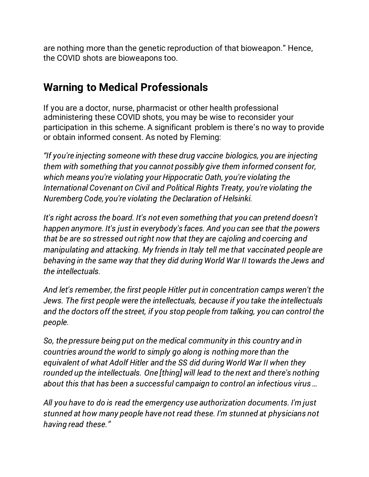are nothing more than the genetic reproduction of that bioweapon." Hence, the COVID shots are bioweapons too.

#### **Warning to Medical Professionals**

If you are a doctor, nurse, pharmacist or other health professional administering these COVID shots, you may be wise to reconsider your participation in this scheme. A significant problem is there's no way to provide or obtain informed consent. As noted by Fleming:

*"If you're injecting someone with these drug vaccine biologics, you are injecting them with something that you cannot possibly give them informed consent for, which means you're violating your Hippocratic Oath, you're violating the International Covenant on Civil and Political Rights Treaty, you're violating the Nuremberg Code, you're violating the Declaration of Helsinki.*

*It's right across the board. It's not even something that you can pretend doesn't happen anymore. It's just in everybody's faces. And you can see that the powers that be are so stressed out right now that they are cajoling and coercing and manipulating and attacking. My friends in Italy tell me that vaccinated people are behaving in the same way that they did during World War II towards the Jews and the intellectuals.*

*And let's remember, the first people Hitler put in concentration camps weren't the Jews. The first people were the intellectuals, because if you take the intellectuals and the doctors off the street, if you stop people from talking, you can control the people.*

*So, the pressure being put on the medical community in this country and in countries around the world to simply go along is nothing more than the equivalent of what Adolf Hitler and the SS did during World War II when they rounded up the intellectuals. One [thing] will lead to the next and there's nothing about this that has been a successful campaign to control an infectious virus …*

*All you have to do is read the emergency use authorization documents. I'm just stunned at how many people have not read these. I'm stunned at physicians not having read these."*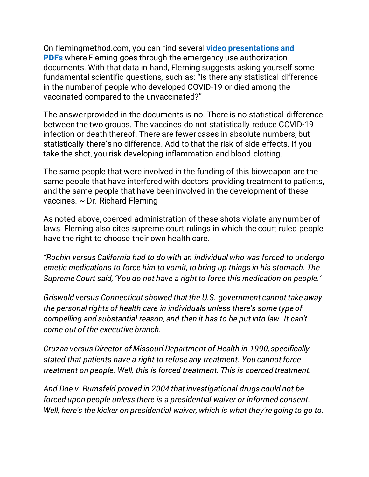On flemingmethod.com, you can find several **[video presentations and](https://www.flemingmethod.com/select-videos)  [PDFs](https://www.flemingmethod.com/select-videos)** where Fleming goes through the emergency use authorization documents. With that data in hand, Fleming suggests asking yourself some fundamental scientific questions, such as: "Is there any statistical difference in the number of people who developed COVID-19 or died among the vaccinated compared to the unvaccinated?"

The answer provided in the documents is no. There is no statistical difference between the two groups. The vaccines do not statistically reduce COVID-19 infection or death thereof. There are fewer cases in absolute numbers, but statistically there's no difference. Add to that the risk of side effects. If you take the shot, you risk developing inflammation and blood clotting.

The same people that were involved in the funding of this bioweapon are the same people that have interfered with doctors providing treatment to patients, and the same people that have been involved in the development of these vaccines. ~ Dr. Richard Fleming

As noted above, coerced administration of these shots violate any number of laws. Fleming also cites supreme court rulings in which the court ruled people have the right to choose their own health care.

*"Rochin versus California had to do with an individual who was forced to undergo emetic medications to force him to vomit, to bring up things in his stomach. The Supreme Court said, 'You do not have a right to force this medication on people.'*

*Griswold versus Connecticut showed that the U.S. government cannot take away the personal rights of health care in individuals unless there's some type of compelling and substantial reason, and then it has to be put into law. It can't come out of the executive branch.*

*Cruzan versus Director of Missouri Department of Health in 1990, specifically stated that patients have a right to refuse any treatment. You cannot force treatment on people. Well, this is forced treatment. This is coerced treatment.*

*And Doe v. Rumsfeld proved in 2004 that investigational drugs could not be forced upon people unless there is a presidential waiver or informed consent. Well, here's the kicker on presidential waiver, which is what they're going to go to.*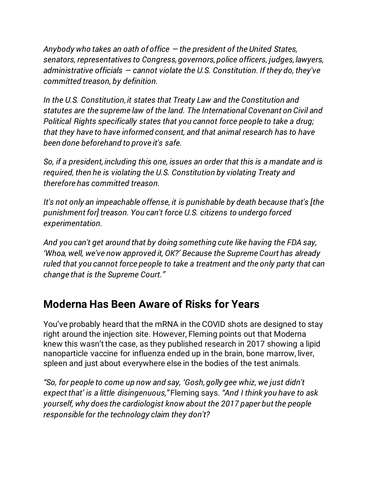*Anybody who takes an oath of office — the president of the United States, senators, representatives to Congress, governors, police officers, judges, lawyers, administrative officials — cannot violate the U.S. Constitution. If they do, they've committed treason, by definition.*

*In the U.S. Constitution, it states that Treaty Law and the Constitution and statutes are the supreme law of the land. The International Covenant on Civil and Political Rights specifically states that you cannot force people to take a drug; that they have to have informed consent, and that animal research has to have been done beforehand to prove it's safe.*

*So, if a president, including this one, issues an order that this is a mandate and is required, then he is violating the U.S. Constitution by violating Treaty and therefore has committed treason.*

*It's not only an impeachable offense, it is punishable by death because that's [the punishment for] treason. You can't force U.S. citizens to undergo forced experimentation.*

*And you can't get around that by doing something cute like having the FDA say, 'Whoa, well, we've now approved it, OK?' Because the Supreme Court has already ruled that you cannot force people to take a treatment and the only party that can change that is the Supreme Court."*

#### **Moderna Has Been Aware of Risks for Years**

You've probably heard that the mRNA in the COVID shots are designed to stay right around the injection site. However, Fleming points out that Moderna knew this wasn't the case, as they published research in 2017 showing a lipid nanoparticle vaccine for influenza ended up in the brain, bone marrow, liver, spleen and just about everywhere else in the bodies of the test animals.

*"So, for people to come up now and say, 'Gosh, golly gee whiz, we just didn't expect that' is a little disingenuous,"* Fleming says. *"And I think you have to ask yourself, why does the cardiologist know about the 2017 paper but the people responsible for the technology claim they don't?*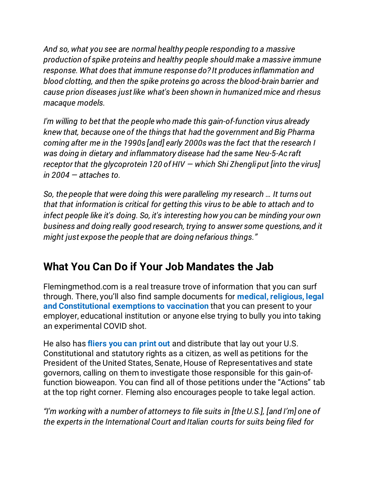*And so, what you see are normal healthy people responding to a massive production of spike proteins and healthy people should make a massive immune response. What does that immune response do? It produces inflammation and blood clotting, and then the spike proteins go across the blood-brain barrier and cause prion diseases just like what's been shown in humanized mice and rhesus macaque models.*

*I'm willing to bet that the people who made this gain-of-function virus already knew that, because one of the things that had the government and Big Pharma coming after me in the 1990s [and] early 2000s was the fact that the research I was doing in dietary and inflammatory disease had the same Neu-5-Ac raft receptor that the glycoprotein 120 of HIV — which Shi Zhengli put [into the virus] in 2004 — attaches to.*

*So, the people that were doing this were paralleling my research … It turns out that that information is critical for getting this virus to be able to attach and to infect people like it's doing. So, it's interesting how you can be minding your own business and doing really good research, trying to answer some questions, and it might just expose the people that are doing nefarious things."*

### **What You Can Do if Your Job Mandates the Jab**

Flemingmethod.com is a real treasure trove of information that you can surf through. There, you'll also find sample documents for **[medical, religious, legal](https://www.flemingmethod.com/exemptions)  [and Constitutional exemptions to vaccination](https://www.flemingmethod.com/exemptions)** that you can present to your employer, educational institution or anyone else trying to bully you into taking an experimental COVID shot.

He also has **[fliers you can print out](https://www.flemingmethod.com/fliers)** and distribute that lay out your U.S. Constitutional and statutory rights as a citizen, as well as petitions for the President of the United States, Senate, House of Representatives and state governors, calling on them to investigate those responsible for this gain-offunction bioweapon. You can find all of those petitions under the "Actions" tab at the top right corner. Fleming also encourages people to take legal action.

*"I'm working with a number of attorneys to file suits in [the U.S.], [and I'm] one of the experts in the International Court and Italian courts for suits being filed for*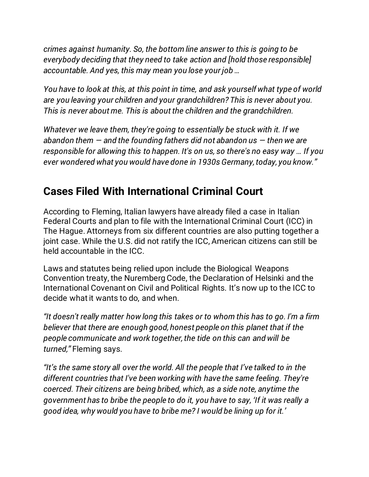*crimes against humanity. So, the bottom line answer to this is going to be everybody deciding that they need to take action and [hold those responsible] accountable. And yes, this may mean you lose your job …*

*You have to look at this, at this point in time, and ask yourself what type of world are you leaving your children and your grandchildren? This is never about you. This is never about me. This is about the children and the grandchildren.*

*Whatever we leave them, they're going to essentially be stuck with it. If we abandon them — and the founding fathers did not abandon us — then we are responsible for allowing this to happen. It's on us, so there's no easy way … If you ever wondered what you would have done in 1930s Germany, today, you know."*

#### **Cases Filed With International Criminal Court**

According to Fleming, Italian lawyers have already filed a case in Italian Federal Courts and plan to file with the International Criminal Court (ICC) in The Hague. Attorneys from six different countries are also putting together a joint case. While the U.S. did not ratify the ICC, American citizens can still be held accountable in the ICC.

Laws and statutes being relied upon include the Biological Weapons Convention treaty, the Nuremberg Code, the Declaration of Helsinki and the International Covenant on Civil and Political Rights. It's now up to the ICC to decide what it wants to do, and when.

*"It doesn't really matter how long this takes or to whom this has to go. I'm a firm believer that there are enough good, honest people on this planet that if the people communicate and work together, the tide on this can and will be turned,"* Fleming says.

*"It's the same story all over the world. All the people that I've talked to in the different countries that I've been working with have the same feeling. They're coerced. Their citizens are being bribed, which, as a side note, anytime the government has to bribe the people to do it, you have to say, 'If it was really a good idea, why would you have to bribe me? I would be lining up for it.'*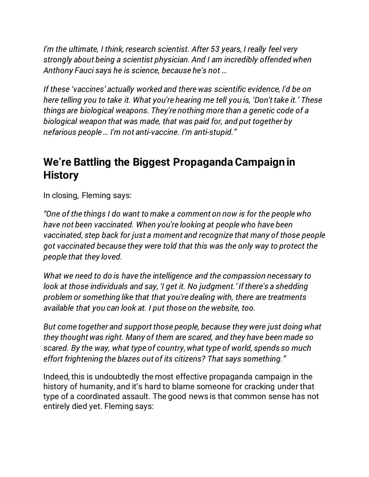*I'm the ultimate, I think, research scientist. After 53 years, I really feel very strongly about being a scientist physician. And I am incredibly offended when Anthony Fauci says he is science, because he's not …*

*If these 'vaccines' actually worked and there was scientific evidence, I'd be on here telling you to take it. What you're hearing me tell you is, 'Don't take it.' These things are biological weapons. They're nothing more than a genetic code of a biological weapon that was made, that was paid for, and put together by nefarious people … I'm not anti-vaccine. I'm anti-stupid."*

#### **We're Battling the Biggest Propaganda Campaign in History**

In closing, Fleming says:

*"One of the things I do want to make a comment on now is for the people who have not been vaccinated. When you're looking at people who have been vaccinated, step back for just a moment and recognize that many of those people got vaccinated because they were told that this was the only way to protect the people that they loved.*

*What we need to do is have the intelligence and the compassion necessary to look at those individuals and say, 'I get it. No judgment.' If there's a shedding problem or something like that that you're dealing with, there are treatments available that you can look at. I put those on the website, too.*

*But come together and support those people, because they were just doing what they thought was right. Many of them are scared, and they have been made so scared. By the way, what type of country, what type of world, spends so much effort frightening the blazes out of its citizens? That says something."*

Indeed, this is undoubtedly the most effective propaganda campaign in the history of humanity, and it's hard to blame someone for cracking under that type of a coordinated assault. The good news is that common sense has not entirely died yet. Fleming says: